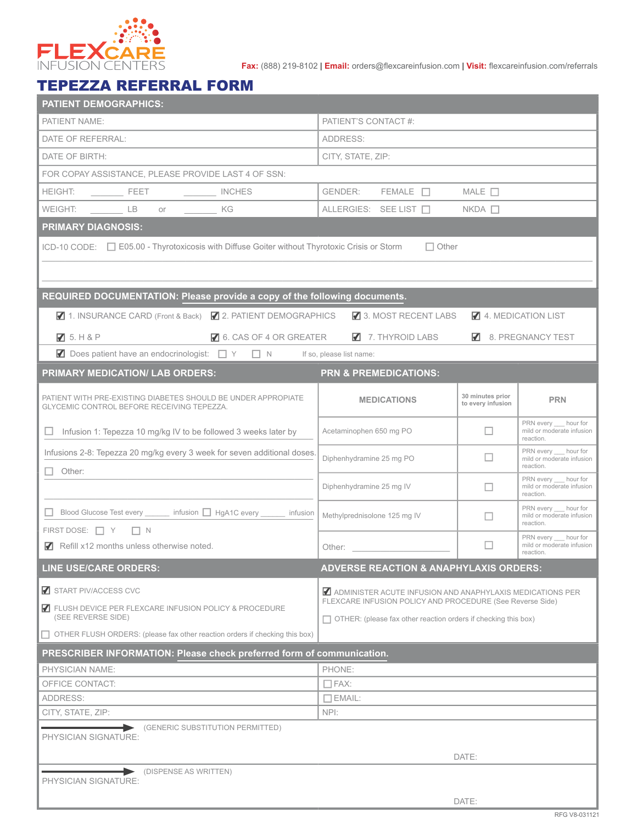

**Fax:** (888) 219-8102 | **Email:** orders@flexcareinfusion.com | **Visit:** flexcareinfusion.com/referrals

## TEPEZZA REFERRAL FORM

| PATIENT'S CONTACT #:<br>PATIENT NAME:<br>DATE OF REFERRAL:<br>ADDRESS:<br>DATE OF BIRTH:<br>CITY, STATE, ZIP:<br>FOR COPAY ASSISTANCE, PLEASE PROVIDE LAST 4 OF SSN:<br>HEIGHT:<br>WEIGHT: LB or KG<br>ALLERGIES: SEE LIST $\Box$ NKDA $\Box$<br><b>PRIMARY DIAGNOSIS:</b><br>ICD-10 CODE: □ E05.00 - Thyrotoxicosis with Diffuse Goiter without Thyrotoxic Crisis or Storm<br>$\Box$ Other<br>REQUIRED DOCUMENTATION: Please provide a copy of the following documents.<br>■ 1. INSURANCE CARD (Front & Back) ■ 2. PATIENT DEMOGRAPHICS<br>3. MOST RECENT LABS<br>4. MEDICATION LIST<br>6. CAS OF 4 OR GREATER<br>7. THYROID LABS<br>8. PREGNANCY TEST<br>75. H & P<br>■ Does patient have an endocrinologist: □ Y □ N If so, please list name:<br>PRIMARY MEDICATION/ LAB ORDERS:<br><b>PRN &amp; PREMEDICATIONS:</b><br>30 minutes prior<br>PATIENT WITH PRE-EXISTING DIABETES SHOULD BE UNDER APPROPIATE<br><b>MEDICATIONS</b><br><b>PRN</b><br>to every infusion<br>GLYCEMIC CONTROL BEFORE RECEIVING TEPEZZA.<br>PRN every hour for<br>Infusion 1: Tepezza 10 mg/kg IV to be followed 3 weeks later by<br>Acetaminophen 650 mg PO<br>mild or moderate infusion<br>reaction.<br>PRN every __ hour for<br>Infusions 2-8: Tepezza 20 mg/kg every 3 week for seven additional doses.<br>Diphenhydramine 25 mg PO<br>mild or moderate infusion<br>reaction.<br>$\Box$ Other:<br>PRN every __ hour for<br>Diphenhydramine 25 mg IV<br>mild or moderate infusion<br>reaction.<br>PRN every __ hour for<br>Blood Glucose Test every _______ infusion □ HgA1C every ______ infusion<br>Methylprednisolone 125 mg IV<br>mild or moderate infusion<br>reaction.<br>FIRST DOSE: $\Box Y$ $\Box N$<br>PRN every hour for<br>mild or moderate infusion<br>Refill x12 months unless otherwise noted.<br>Other: the contract of the contract of the contract of the contract of the contract of the contract of the contract of the contract of the contract of the contract of the contract of the contract of the contract of the con<br>reaction.<br><b>LINE USE/CARE ORDERS:</b><br><b>ADVERSE REACTION &amp; ANAPHYLAXIS ORDERS:</b><br>START PIV/ACCESS CVC<br>ADMINISTER ACUTE INFUSION AND ANAPHYLAXIS MEDICATIONS PER<br>FLEXCARE INFUSION POLICY AND PROCEDURE (See Reverse Side)<br>ELUSH DEVICE PER FLEXCARE INFUSION POLICY & PROCEDURE<br>(SEE REVERSE SIDE)<br>$\Box$ OTHER: (please fax other reaction orders if checking this box)<br>$\Box$ OTHER FLUSH ORDERS: (please fax other reaction orders if checking this box)<br>PRESCRIBER INFORMATION: Please check preferred form of communication.<br>PHYSICIAN NAME:<br>PHONE:<br>OFFICE CONTACT:<br>$\Box$ FAX:<br>ADDRESS:<br>$\Box$ EMAIL:<br>CITY, STATE, ZIP:<br>NPI:<br>(GENERIC SUBSTITUTION PERMITTED)<br>PHYSICIAN SIGNATURE:<br>DATE:<br>(DISPENSE AS WRITTEN)<br>PHYSICIAN SIGNATURE:<br>DATE: | <b>PATIENT DEMOGRAPHICS:</b> |  |  |  |  |  |  |  |  |  |  |
|------------------------------------------------------------------------------------------------------------------------------------------------------------------------------------------------------------------------------------------------------------------------------------------------------------------------------------------------------------------------------------------------------------------------------------------------------------------------------------------------------------------------------------------------------------------------------------------------------------------------------------------------------------------------------------------------------------------------------------------------------------------------------------------------------------------------------------------------------------------------------------------------------------------------------------------------------------------------------------------------------------------------------------------------------------------------------------------------------------------------------------------------------------------------------------------------------------------------------------------------------------------------------------------------------------------------------------------------------------------------------------------------------------------------------------------------------------------------------------------------------------------------------------------------------------------------------------------------------------------------------------------------------------------------------------------------------------------------------------------------------------------------------------------------------------------------------------------------------------------------------------------------------------------------------------------------------------------------------------------------------------------------------------------------------------------------------------------------------------------------------------------------------------------------------------------------------------------------------------------------------------------------------------------------------------------------------------------------------------------------------------------------------------------------------------------------------------------------------------------------------------------------------------------------------------------------------------------------------------------------------------------------------------------------------------------------------------------------------------------------------------------------------------------------------------------------------------------------------------------|------------------------------|--|--|--|--|--|--|--|--|--|--|
|                                                                                                                                                                                                                                                                                                                                                                                                                                                                                                                                                                                                                                                                                                                                                                                                                                                                                                                                                                                                                                                                                                                                                                                                                                                                                                                                                                                                                                                                                                                                                                                                                                                                                                                                                                                                                                                                                                                                                                                                                                                                                                                                                                                                                                                                                                                                                                                                                                                                                                                                                                                                                                                                                                                                                                                                                                                                  |                              |  |  |  |  |  |  |  |  |  |  |
|                                                                                                                                                                                                                                                                                                                                                                                                                                                                                                                                                                                                                                                                                                                                                                                                                                                                                                                                                                                                                                                                                                                                                                                                                                                                                                                                                                                                                                                                                                                                                                                                                                                                                                                                                                                                                                                                                                                                                                                                                                                                                                                                                                                                                                                                                                                                                                                                                                                                                                                                                                                                                                                                                                                                                                                                                                                                  |                              |  |  |  |  |  |  |  |  |  |  |
|                                                                                                                                                                                                                                                                                                                                                                                                                                                                                                                                                                                                                                                                                                                                                                                                                                                                                                                                                                                                                                                                                                                                                                                                                                                                                                                                                                                                                                                                                                                                                                                                                                                                                                                                                                                                                                                                                                                                                                                                                                                                                                                                                                                                                                                                                                                                                                                                                                                                                                                                                                                                                                                                                                                                                                                                                                                                  |                              |  |  |  |  |  |  |  |  |  |  |
|                                                                                                                                                                                                                                                                                                                                                                                                                                                                                                                                                                                                                                                                                                                                                                                                                                                                                                                                                                                                                                                                                                                                                                                                                                                                                                                                                                                                                                                                                                                                                                                                                                                                                                                                                                                                                                                                                                                                                                                                                                                                                                                                                                                                                                                                                                                                                                                                                                                                                                                                                                                                                                                                                                                                                                                                                                                                  |                              |  |  |  |  |  |  |  |  |  |  |
|                                                                                                                                                                                                                                                                                                                                                                                                                                                                                                                                                                                                                                                                                                                                                                                                                                                                                                                                                                                                                                                                                                                                                                                                                                                                                                                                                                                                                                                                                                                                                                                                                                                                                                                                                                                                                                                                                                                                                                                                                                                                                                                                                                                                                                                                                                                                                                                                                                                                                                                                                                                                                                                                                                                                                                                                                                                                  |                              |  |  |  |  |  |  |  |  |  |  |
|                                                                                                                                                                                                                                                                                                                                                                                                                                                                                                                                                                                                                                                                                                                                                                                                                                                                                                                                                                                                                                                                                                                                                                                                                                                                                                                                                                                                                                                                                                                                                                                                                                                                                                                                                                                                                                                                                                                                                                                                                                                                                                                                                                                                                                                                                                                                                                                                                                                                                                                                                                                                                                                                                                                                                                                                                                                                  |                              |  |  |  |  |  |  |  |  |  |  |
|                                                                                                                                                                                                                                                                                                                                                                                                                                                                                                                                                                                                                                                                                                                                                                                                                                                                                                                                                                                                                                                                                                                                                                                                                                                                                                                                                                                                                                                                                                                                                                                                                                                                                                                                                                                                                                                                                                                                                                                                                                                                                                                                                                                                                                                                                                                                                                                                                                                                                                                                                                                                                                                                                                                                                                                                                                                                  |                              |  |  |  |  |  |  |  |  |  |  |
|                                                                                                                                                                                                                                                                                                                                                                                                                                                                                                                                                                                                                                                                                                                                                                                                                                                                                                                                                                                                                                                                                                                                                                                                                                                                                                                                                                                                                                                                                                                                                                                                                                                                                                                                                                                                                                                                                                                                                                                                                                                                                                                                                                                                                                                                                                                                                                                                                                                                                                                                                                                                                                                                                                                                                                                                                                                                  |                              |  |  |  |  |  |  |  |  |  |  |
|                                                                                                                                                                                                                                                                                                                                                                                                                                                                                                                                                                                                                                                                                                                                                                                                                                                                                                                                                                                                                                                                                                                                                                                                                                                                                                                                                                                                                                                                                                                                                                                                                                                                                                                                                                                                                                                                                                                                                                                                                                                                                                                                                                                                                                                                                                                                                                                                                                                                                                                                                                                                                                                                                                                                                                                                                                                                  |                              |  |  |  |  |  |  |  |  |  |  |
|                                                                                                                                                                                                                                                                                                                                                                                                                                                                                                                                                                                                                                                                                                                                                                                                                                                                                                                                                                                                                                                                                                                                                                                                                                                                                                                                                                                                                                                                                                                                                                                                                                                                                                                                                                                                                                                                                                                                                                                                                                                                                                                                                                                                                                                                                                                                                                                                                                                                                                                                                                                                                                                                                                                                                                                                                                                                  |                              |  |  |  |  |  |  |  |  |  |  |
|                                                                                                                                                                                                                                                                                                                                                                                                                                                                                                                                                                                                                                                                                                                                                                                                                                                                                                                                                                                                                                                                                                                                                                                                                                                                                                                                                                                                                                                                                                                                                                                                                                                                                                                                                                                                                                                                                                                                                                                                                                                                                                                                                                                                                                                                                                                                                                                                                                                                                                                                                                                                                                                                                                                                                                                                                                                                  |                              |  |  |  |  |  |  |  |  |  |  |
|                                                                                                                                                                                                                                                                                                                                                                                                                                                                                                                                                                                                                                                                                                                                                                                                                                                                                                                                                                                                                                                                                                                                                                                                                                                                                                                                                                                                                                                                                                                                                                                                                                                                                                                                                                                                                                                                                                                                                                                                                                                                                                                                                                                                                                                                                                                                                                                                                                                                                                                                                                                                                                                                                                                                                                                                                                                                  |                              |  |  |  |  |  |  |  |  |  |  |
|                                                                                                                                                                                                                                                                                                                                                                                                                                                                                                                                                                                                                                                                                                                                                                                                                                                                                                                                                                                                                                                                                                                                                                                                                                                                                                                                                                                                                                                                                                                                                                                                                                                                                                                                                                                                                                                                                                                                                                                                                                                                                                                                                                                                                                                                                                                                                                                                                                                                                                                                                                                                                                                                                                                                                                                                                                                                  |                              |  |  |  |  |  |  |  |  |  |  |
|                                                                                                                                                                                                                                                                                                                                                                                                                                                                                                                                                                                                                                                                                                                                                                                                                                                                                                                                                                                                                                                                                                                                                                                                                                                                                                                                                                                                                                                                                                                                                                                                                                                                                                                                                                                                                                                                                                                                                                                                                                                                                                                                                                                                                                                                                                                                                                                                                                                                                                                                                                                                                                                                                                                                                                                                                                                                  |                              |  |  |  |  |  |  |  |  |  |  |
|                                                                                                                                                                                                                                                                                                                                                                                                                                                                                                                                                                                                                                                                                                                                                                                                                                                                                                                                                                                                                                                                                                                                                                                                                                                                                                                                                                                                                                                                                                                                                                                                                                                                                                                                                                                                                                                                                                                                                                                                                                                                                                                                                                                                                                                                                                                                                                                                                                                                                                                                                                                                                                                                                                                                                                                                                                                                  |                              |  |  |  |  |  |  |  |  |  |  |
|                                                                                                                                                                                                                                                                                                                                                                                                                                                                                                                                                                                                                                                                                                                                                                                                                                                                                                                                                                                                                                                                                                                                                                                                                                                                                                                                                                                                                                                                                                                                                                                                                                                                                                                                                                                                                                                                                                                                                                                                                                                                                                                                                                                                                                                                                                                                                                                                                                                                                                                                                                                                                                                                                                                                                                                                                                                                  |                              |  |  |  |  |  |  |  |  |  |  |
|                                                                                                                                                                                                                                                                                                                                                                                                                                                                                                                                                                                                                                                                                                                                                                                                                                                                                                                                                                                                                                                                                                                                                                                                                                                                                                                                                                                                                                                                                                                                                                                                                                                                                                                                                                                                                                                                                                                                                                                                                                                                                                                                                                                                                                                                                                                                                                                                                                                                                                                                                                                                                                                                                                                                                                                                                                                                  |                              |  |  |  |  |  |  |  |  |  |  |
|                                                                                                                                                                                                                                                                                                                                                                                                                                                                                                                                                                                                                                                                                                                                                                                                                                                                                                                                                                                                                                                                                                                                                                                                                                                                                                                                                                                                                                                                                                                                                                                                                                                                                                                                                                                                                                                                                                                                                                                                                                                                                                                                                                                                                                                                                                                                                                                                                                                                                                                                                                                                                                                                                                                                                                                                                                                                  |                              |  |  |  |  |  |  |  |  |  |  |
|                                                                                                                                                                                                                                                                                                                                                                                                                                                                                                                                                                                                                                                                                                                                                                                                                                                                                                                                                                                                                                                                                                                                                                                                                                                                                                                                                                                                                                                                                                                                                                                                                                                                                                                                                                                                                                                                                                                                                                                                                                                                                                                                                                                                                                                                                                                                                                                                                                                                                                                                                                                                                                                                                                                                                                                                                                                                  |                              |  |  |  |  |  |  |  |  |  |  |
|                                                                                                                                                                                                                                                                                                                                                                                                                                                                                                                                                                                                                                                                                                                                                                                                                                                                                                                                                                                                                                                                                                                                                                                                                                                                                                                                                                                                                                                                                                                                                                                                                                                                                                                                                                                                                                                                                                                                                                                                                                                                                                                                                                                                                                                                                                                                                                                                                                                                                                                                                                                                                                                                                                                                                                                                                                                                  |                              |  |  |  |  |  |  |  |  |  |  |
|                                                                                                                                                                                                                                                                                                                                                                                                                                                                                                                                                                                                                                                                                                                                                                                                                                                                                                                                                                                                                                                                                                                                                                                                                                                                                                                                                                                                                                                                                                                                                                                                                                                                                                                                                                                                                                                                                                                                                                                                                                                                                                                                                                                                                                                                                                                                                                                                                                                                                                                                                                                                                                                                                                                                                                                                                                                                  |                              |  |  |  |  |  |  |  |  |  |  |
|                                                                                                                                                                                                                                                                                                                                                                                                                                                                                                                                                                                                                                                                                                                                                                                                                                                                                                                                                                                                                                                                                                                                                                                                                                                                                                                                                                                                                                                                                                                                                                                                                                                                                                                                                                                                                                                                                                                                                                                                                                                                                                                                                                                                                                                                                                                                                                                                                                                                                                                                                                                                                                                                                                                                                                                                                                                                  |                              |  |  |  |  |  |  |  |  |  |  |
|                                                                                                                                                                                                                                                                                                                                                                                                                                                                                                                                                                                                                                                                                                                                                                                                                                                                                                                                                                                                                                                                                                                                                                                                                                                                                                                                                                                                                                                                                                                                                                                                                                                                                                                                                                                                                                                                                                                                                                                                                                                                                                                                                                                                                                                                                                                                                                                                                                                                                                                                                                                                                                                                                                                                                                                                                                                                  |                              |  |  |  |  |  |  |  |  |  |  |
|                                                                                                                                                                                                                                                                                                                                                                                                                                                                                                                                                                                                                                                                                                                                                                                                                                                                                                                                                                                                                                                                                                                                                                                                                                                                                                                                                                                                                                                                                                                                                                                                                                                                                                                                                                                                                                                                                                                                                                                                                                                                                                                                                                                                                                                                                                                                                                                                                                                                                                                                                                                                                                                                                                                                                                                                                                                                  |                              |  |  |  |  |  |  |  |  |  |  |
|                                                                                                                                                                                                                                                                                                                                                                                                                                                                                                                                                                                                                                                                                                                                                                                                                                                                                                                                                                                                                                                                                                                                                                                                                                                                                                                                                                                                                                                                                                                                                                                                                                                                                                                                                                                                                                                                                                                                                                                                                                                                                                                                                                                                                                                                                                                                                                                                                                                                                                                                                                                                                                                                                                                                                                                                                                                                  |                              |  |  |  |  |  |  |  |  |  |  |
|                                                                                                                                                                                                                                                                                                                                                                                                                                                                                                                                                                                                                                                                                                                                                                                                                                                                                                                                                                                                                                                                                                                                                                                                                                                                                                                                                                                                                                                                                                                                                                                                                                                                                                                                                                                                                                                                                                                                                                                                                                                                                                                                                                                                                                                                                                                                                                                                                                                                                                                                                                                                                                                                                                                                                                                                                                                                  |                              |  |  |  |  |  |  |  |  |  |  |
|                                                                                                                                                                                                                                                                                                                                                                                                                                                                                                                                                                                                                                                                                                                                                                                                                                                                                                                                                                                                                                                                                                                                                                                                                                                                                                                                                                                                                                                                                                                                                                                                                                                                                                                                                                                                                                                                                                                                                                                                                                                                                                                                                                                                                                                                                                                                                                                                                                                                                                                                                                                                                                                                                                                                                                                                                                                                  |                              |  |  |  |  |  |  |  |  |  |  |
|                                                                                                                                                                                                                                                                                                                                                                                                                                                                                                                                                                                                                                                                                                                                                                                                                                                                                                                                                                                                                                                                                                                                                                                                                                                                                                                                                                                                                                                                                                                                                                                                                                                                                                                                                                                                                                                                                                                                                                                                                                                                                                                                                                                                                                                                                                                                                                                                                                                                                                                                                                                                                                                                                                                                                                                                                                                                  |                              |  |  |  |  |  |  |  |  |  |  |
|                                                                                                                                                                                                                                                                                                                                                                                                                                                                                                                                                                                                                                                                                                                                                                                                                                                                                                                                                                                                                                                                                                                                                                                                                                                                                                                                                                                                                                                                                                                                                                                                                                                                                                                                                                                                                                                                                                                                                                                                                                                                                                                                                                                                                                                                                                                                                                                                                                                                                                                                                                                                                                                                                                                                                                                                                                                                  |                              |  |  |  |  |  |  |  |  |  |  |
|                                                                                                                                                                                                                                                                                                                                                                                                                                                                                                                                                                                                                                                                                                                                                                                                                                                                                                                                                                                                                                                                                                                                                                                                                                                                                                                                                                                                                                                                                                                                                                                                                                                                                                                                                                                                                                                                                                                                                                                                                                                                                                                                                                                                                                                                                                                                                                                                                                                                                                                                                                                                                                                                                                                                                                                                                                                                  |                              |  |  |  |  |  |  |  |  |  |  |
|                                                                                                                                                                                                                                                                                                                                                                                                                                                                                                                                                                                                                                                                                                                                                                                                                                                                                                                                                                                                                                                                                                                                                                                                                                                                                                                                                                                                                                                                                                                                                                                                                                                                                                                                                                                                                                                                                                                                                                                                                                                                                                                                                                                                                                                                                                                                                                                                                                                                                                                                                                                                                                                                                                                                                                                                                                                                  |                              |  |  |  |  |  |  |  |  |  |  |
|                                                                                                                                                                                                                                                                                                                                                                                                                                                                                                                                                                                                                                                                                                                                                                                                                                                                                                                                                                                                                                                                                                                                                                                                                                                                                                                                                                                                                                                                                                                                                                                                                                                                                                                                                                                                                                                                                                                                                                                                                                                                                                                                                                                                                                                                                                                                                                                                                                                                                                                                                                                                                                                                                                                                                                                                                                                                  |                              |  |  |  |  |  |  |  |  |  |  |
|                                                                                                                                                                                                                                                                                                                                                                                                                                                                                                                                                                                                                                                                                                                                                                                                                                                                                                                                                                                                                                                                                                                                                                                                                                                                                                                                                                                                                                                                                                                                                                                                                                                                                                                                                                                                                                                                                                                                                                                                                                                                                                                                                                                                                                                                                                                                                                                                                                                                                                                                                                                                                                                                                                                                                                                                                                                                  |                              |  |  |  |  |  |  |  |  |  |  |
|                                                                                                                                                                                                                                                                                                                                                                                                                                                                                                                                                                                                                                                                                                                                                                                                                                                                                                                                                                                                                                                                                                                                                                                                                                                                                                                                                                                                                                                                                                                                                                                                                                                                                                                                                                                                                                                                                                                                                                                                                                                                                                                                                                                                                                                                                                                                                                                                                                                                                                                                                                                                                                                                                                                                                                                                                                                                  |                              |  |  |  |  |  |  |  |  |  |  |
|                                                                                                                                                                                                                                                                                                                                                                                                                                                                                                                                                                                                                                                                                                                                                                                                                                                                                                                                                                                                                                                                                                                                                                                                                                                                                                                                                                                                                                                                                                                                                                                                                                                                                                                                                                                                                                                                                                                                                                                                                                                                                                                                                                                                                                                                                                                                                                                                                                                                                                                                                                                                                                                                                                                                                                                                                                                                  |                              |  |  |  |  |  |  |  |  |  |  |
|                                                                                                                                                                                                                                                                                                                                                                                                                                                                                                                                                                                                                                                                                                                                                                                                                                                                                                                                                                                                                                                                                                                                                                                                                                                                                                                                                                                                                                                                                                                                                                                                                                                                                                                                                                                                                                                                                                                                                                                                                                                                                                                                                                                                                                                                                                                                                                                                                                                                                                                                                                                                                                                                                                                                                                                                                                                                  |                              |  |  |  |  |  |  |  |  |  |  |
|                                                                                                                                                                                                                                                                                                                                                                                                                                                                                                                                                                                                                                                                                                                                                                                                                                                                                                                                                                                                                                                                                                                                                                                                                                                                                                                                                                                                                                                                                                                                                                                                                                                                                                                                                                                                                                                                                                                                                                                                                                                                                                                                                                                                                                                                                                                                                                                                                                                                                                                                                                                                                                                                                                                                                                                                                                                                  |                              |  |  |  |  |  |  |  |  |  |  |
|                                                                                                                                                                                                                                                                                                                                                                                                                                                                                                                                                                                                                                                                                                                                                                                                                                                                                                                                                                                                                                                                                                                                                                                                                                                                                                                                                                                                                                                                                                                                                                                                                                                                                                                                                                                                                                                                                                                                                                                                                                                                                                                                                                                                                                                                                                                                                                                                                                                                                                                                                                                                                                                                                                                                                                                                                                                                  |                              |  |  |  |  |  |  |  |  |  |  |
|                                                                                                                                                                                                                                                                                                                                                                                                                                                                                                                                                                                                                                                                                                                                                                                                                                                                                                                                                                                                                                                                                                                                                                                                                                                                                                                                                                                                                                                                                                                                                                                                                                                                                                                                                                                                                                                                                                                                                                                                                                                                                                                                                                                                                                                                                                                                                                                                                                                                                                                                                                                                                                                                                                                                                                                                                                                                  |                              |  |  |  |  |  |  |  |  |  |  |